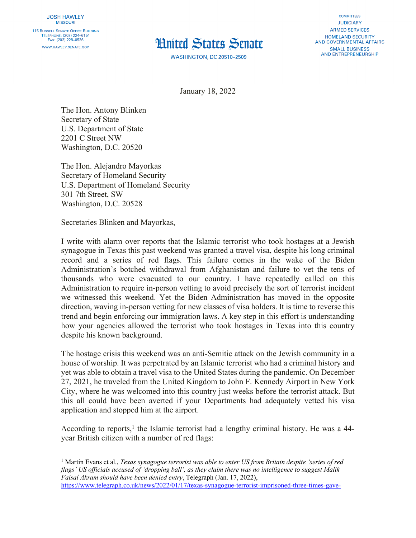

**WASHINGTON, DC 20510-2509** 

**COMMITTEES JUDICIARY ARMED SERVICES HOMELAND SECURITY** AND GOVERNMENTAL AFFAIRS **SMALL BUSINESS AND ENTREPRENEURSHIP** 

January 18, 2022

The Hon. Antony Blinken Secretary of State U.S. Department of State 2201 C Street NW Washington, D.C. 20520

The Hon. Alejandro Mayorkas Secretary of Homeland Security U.S. Department of Homeland Security 301 7th Street, SW Washington, D.C. 20528

Secretaries Blinken and Mayorkas,

I write with alarm over reports that the Islamic terrorist who took hostages at a Jewish synagogue in Texas this past weekend was granted a travel visa, despite his long criminal record and a series of red flags. This failure comes in the wake of the Biden Administration's botched withdrawal from Afghanistan and failure to vet the tens of thousands who were evacuated to our country. I have repeatedly called on this Administration to require in-person vetting to avoid precisely the sort of terrorist incident we witnessed this weekend. Yet the Biden Administration has moved in the opposite direction, waving in-person vetting for new classes of visa holders. It is time to reverse this trend and begin enforcing our immigration laws. A key step in this effort is understanding how your agencies allowed the terrorist who took hostages in Texas into this country despite his known background.

The hostage crisis this weekend was an anti-Semitic attack on the Jewish community in a house of worship. It was perpetrated by an Islamic terrorist who had a criminal history and yet was able to obtain a travel visa to the United States during the pandemic. On December 27, 2021, he traveled from the United Kingdom to John F. Kennedy Airport in New York City, where he was welcomed into this country just weeks before the terrorist attack. But this all could have been averted if your Departments had adequately vetted his visa application and stopped him at the airport.

According to reports,<sup>1</sup> the Islamic terrorist had a lengthy criminal history. He was a  $44$ year British citizen with a number of red flags:

<sup>1</sup> Martin Evans et al., *Texas synagogue terrorist was able to enter US from Britain despite 'series of red flags' US officials accused of 'dropping ball', as they claim there was no intelligence to suggest Malik Faisal Akram should have been denied entry*, Telegraph (Jan. 17, 2022),

https://www.telegraph.co.uk/news/2022/01/17/texas-synagogue-terrorist-imprisoned-three-times-gave-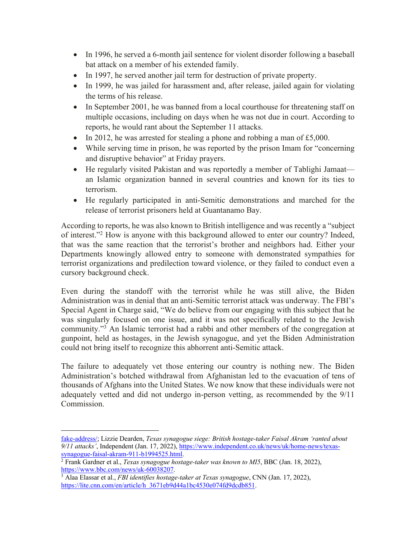- In 1996, he served a 6-month jail sentence for violent disorder following a baseball bat attack on a member of his extended family.
- In 1997, he served another jail term for destruction of private property.
- In 1999, he was jailed for harassment and, after release, jailed again for violating the terms of his release.
- In September 2001, he was banned from a local courthouse for threatening staff on multiple occasions, including on days when he was not due in court. According to reports, he would rant about the September 11 attacks.
- In 2012, he was arrested for stealing a phone and robbing a man of £5,000.
- While serving time in prison, he was reported by the prison Imam for "concerning and disruptive behavior" at Friday prayers.
- He regularly visited Pakistan and was reportedly a member of Tablighi Jamaat an Islamic organization banned in several countries and known for its ties to terrorism.
- He regularly participated in anti-Semitic demonstrations and marched for the release of terrorist prisoners held at Guantanamo Bay.

According to reports, he was also known to British intelligence and was recently a "subject of interest."2 How is anyone with this background allowed to enter our country? Indeed, that was the same reaction that the terrorist's brother and neighbors had. Either your Departments knowingly allowed entry to someone with demonstrated sympathies for terrorist organizations and predilection toward violence, or they failed to conduct even a cursory background check.

Even during the standoff with the terrorist while he was still alive, the Biden Administration was in denial that an anti-Semitic terrorist attack was underway. The FBI's Special Agent in Charge said, "We do believe from our engaging with this subject that he was singularly focused on one issue, and it was not specifically related to the Jewish community."3 An Islamic terrorist had a rabbi and other members of the congregation at gunpoint, held as hostages, in the Jewish synagogue, and yet the Biden Administration could not bring itself to recognize this abhorrent anti-Semitic attack.

The failure to adequately vet those entering our country is nothing new. The Biden Administration's botched withdrawal from Afghanistan led to the evacuation of tens of thousands of Afghans into the United States. We now know that these individuals were not adequately vetted and did not undergo in-person vetting, as recommended by the 9/11 Commission.

fake-address/; Lizzie Dearden, *Texas synagogue siege: British hostage-taker Faisal Akram 'ranted about 9/11 attacks'*, Independent (Jan. 17, 2022), https://www.independent.co.uk/news/uk/home-news/texas-

synagogue-faisal-akram-911-b1994525.html. 2 Frank Gardner et al., *Texas synagogue hostage-taker was known to MI5*, BBC (Jan. 18, 2022), https://www.bbc.com/news/uk-60038207.

<sup>3</sup> Alaa Elassar et al., *FBI identifies hostage-taker at Texas synagogue*, CNN (Jan. 17, 2022), https://lite.cnn.com/en/article/h\_3671eb9d44a1bc4530e074fd9dcdb851.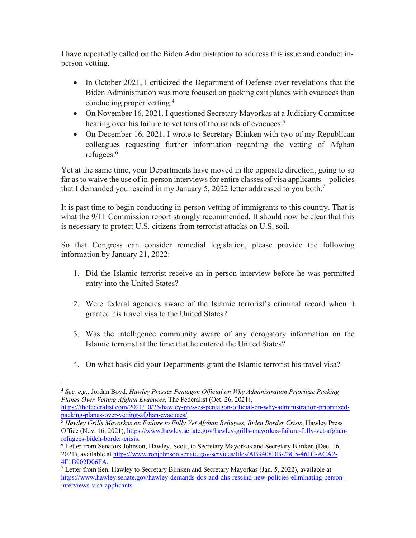I have repeatedly called on the Biden Administration to address this issue and conduct inperson vetting.

- In October 2021, I criticized the Department of Defense over revelations that the Biden Administration was more focused on packing exit planes with evacuees than conducting proper vetting.4
- On November 16, 2021, I questioned Secretary Mayorkas at a Judiciary Committee hearing over his failure to vet tens of thousands of evacuees.<sup>5</sup>
- On December 16, 2021, I wrote to Secretary Blinken with two of my Republican colleagues requesting further information regarding the vetting of Afghan refugees.6

Yet at the same time, your Departments have moved in the opposite direction, going to so far as to waive the use of in-person interviews for entire classes of visa applicants—policies that I demanded you rescind in my January 5, 2022 letter addressed to you both.<sup>7</sup>

It is past time to begin conducting in-person vetting of immigrants to this country. That is what the  $9/11$  Commission report strongly recommended. It should now be clear that this is necessary to protect U.S. citizens from terrorist attacks on U.S. soil.

So that Congress can consider remedial legislation, please provide the following information by January 21, 2022:

- 1. Did the Islamic terrorist receive an in-person interview before he was permitted entry into the United States?
- 2. Were federal agencies aware of the Islamic terrorist's criminal record when it granted his travel visa to the United States?
- 3. Was the intelligence community aware of any derogatory information on the Islamic terrorist at the time that he entered the United States?
- 4. On what basis did your Departments grant the Islamic terrorist his travel visa?

https://thefederalist.com/2021/10/26/hawley-presses-pentagon-official-on-why-administration-prioritized-

<sup>4</sup> *See, e.g.*, Jordan Boyd, *Hawley Presses Pentagon Official on Why Administration Prioritize Packing Planes Over Vetting Afghan Evacuees*, The Federalist (Oct. 26, 2021),

<sup>&</sup>lt;sup>5</sup> Hawley Grills Mayorkas on Failure to Fully Vet Afghan Refugees, Biden Border Crisis, Hawley Press Office (Nov. 16, 2021), https://www.hawley.senate.gov/hawley-grills-mayorkas-failure-fully-vet-afghanrefugees-biden-border-crisis.<br><sup>6</sup> Letter from Senators Johnson, Hawley, Scott, to Secretary Mayorkas and Secretary Blinken (Dec. 16,

<sup>2021),</sup> available at https://www.ronjohnson.senate.gov/services/files/AB9408DB-23C5-461C-ACA2-

<sup>4</sup>F1B902D06FA.<br><sup>7</sup> Letter from Sen. Hawley to Secretary Blinken and Secretary Mayorkas (Jan. 5, 2022), available at https://www.hawley.senate.gov/hawley-demands-dos-and-dhs-rescind-new-policies-eliminating-personinterviews-visa-applicants.